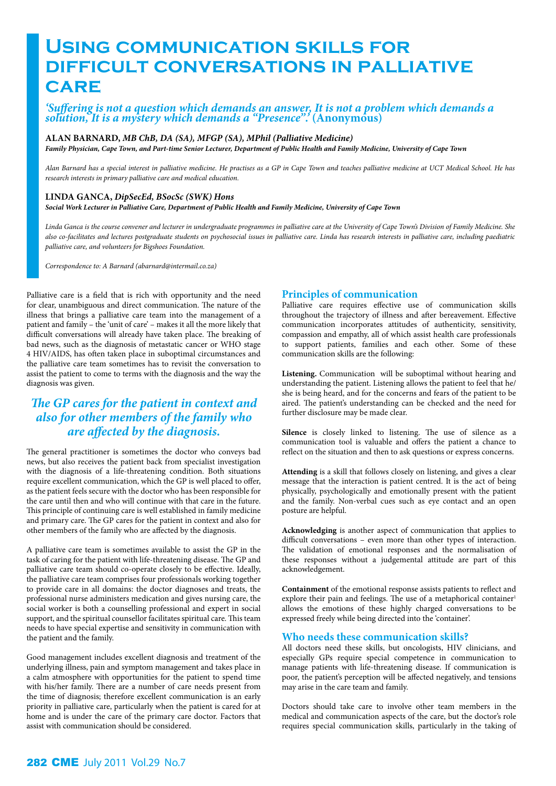# **Using communication skills for difficult conversations in palliative care**

#### *'Suffering is not a question which demands an answer, It is not a problem which demands a solution, It is a mystery which demands a "Presence".'* **(Anonymous)**

#### **ALAN BARNARD,** *MB ChB, DA (SA), MFGP (SA), MPhil (Palliative Medicine)*

*Family Physician, Cape Town, and Part-time Senior Lecturer, Department of Public Health and Family Medicine, University of Cape Town* 

*Alan Barnard has a special interest in palliative medicine. He practises as a GP in Cape Town and teaches palliative medicine at UCT Medical School. He has research interests in primary palliative care and medical education.*

#### **LINDA GANCA,** *DipSecEd, BSocSc (SWK) Hons*

*Social Work Lecturer in Palliative Care, Department of Public Health and Family Medicine, University of Cape Town* 

*Linda Ganca is the course convener and lecturer in undergraduate programmes in palliative care at the University of Cape Town's Division of Family Medicine. She also co-facilitates and lectures postgraduate students on psychosocial issues in palliative care. Linda has research interests in palliative care, including paediatric palliative care, and volunteers for Bigshoes Foundation.* 

*Correspondence to: A Barnard (abarnard@intermail.co.za)*

Palliative care is a field that is rich with opportunity and the need for clear, unambiguous and direct communication. The nature of the illness that brings a palliative care team into the management of a patient and family – the 'unit of care' – makes it all the more likely that difficult conversations will already have taken place. The breaking of bad news, such as the diagnosis of metastatic cancer or WHO stage 4 HIV/AIDS, has often taken place in suboptimal circumstances and the palliative care team sometimes has to revisit the conversation to assist the patient to come to terms with the diagnosis and the way the diagnosis was given.

## *The GP cares for the patient in context and also for other members of the family who are affected by the diagnosis.*

The general practitioner is sometimes the doctor who conveys bad news, but also receives the patient back from specialist investigation with the diagnosis of a life-threatening condition. Both situations require excellent communication, which the GP is well placed to offer, as the patient feels secure with the doctor who has been responsible for the care until then and who will continue with that care in the future. This principle of continuing care is well established in family medicine and primary care. The GP cares for the patient in context and also for other members of the family who are affected by the diagnosis.

A palliative care team is sometimes available to assist the GP in the task of caring for the patient with life-threatening disease. The GP and palliative care team should co-operate closely to be effective. Ideally, the palliative care team comprises four professionals working together to provide care in all domains: the doctor diagnoses and treats, the professional nurse administers medication and gives nursing care, the social worker is both a counselling professional and expert in social support, and the spiritual counsellor facilitates spiritual care. This team needs to have special expertise and sensitivity in communication with the patient and the family.

Good management includes excellent diagnosis and treatment of the underlying illness, pain and symptom management and takes place in a calm atmosphere with opportunities for the patient to spend time with his/her family. There are a number of care needs present from the time of diagnosis; therefore excellent communication is an early priority in palliative care, particularly when the patient is cared for at home and is under the care of the primary care doctor. Factors that assist with communication should be considered.

#### **Principles of communication**

Palliative care requires effective use of communication skills throughout the trajectory of illness and after bereavement. Effective communication incorporates attitudes of authenticity, sensitivity, compassion and empathy, all of which assist health care professionals to support patients, families and each other. Some of these communication skills are the following:

**Listening.** Communication will be suboptimal without hearing and understanding the patient. Listening allows the patient to feel that he/ she is being heard, and for the concerns and fears of the patient to be aired. The patient's understanding can be checked and the need for further disclosure may be made clear.

**Silence** is closely linked to listening. The use of silence as a communication tool is valuable and offers the patient a chance to reflect on the situation and then to ask questions or express concerns.

**Attending** is a skill that follows closely on listening, and gives a clear message that the interaction is patient centred. It is the act of being physically, psychologically and emotionally present with the patient and the family. Non-verbal cues such as eye contact and an open posture are helpful.

**Acknowledging** is another aspect of communication that applies to difficult conversations – even more than other types of interaction. The validation of emotional responses and the normalisation of these responses without a judgemental attitude are part of this acknowledgement.

**Containment** of the emotional response assists patients to reflect and explore their pain and feelings. The use of a metaphorical container<sup>1</sup> allows the emotions of these highly charged conversations to be expressed freely while being directed into the 'container'.

#### **Who needs these communication skills?**

All doctors need these skills, but oncologists, HIV clinicians, and especially GPs require special competence in communication to manage patients with life-threatening disease. If communication is poor, the patient's perception will be affected negatively, and tensions may arise in the care team and family.

Doctors should take care to involve other team members in the medical and communication aspects of the care, but the doctor's role requires special communication skills, particularly in the taking of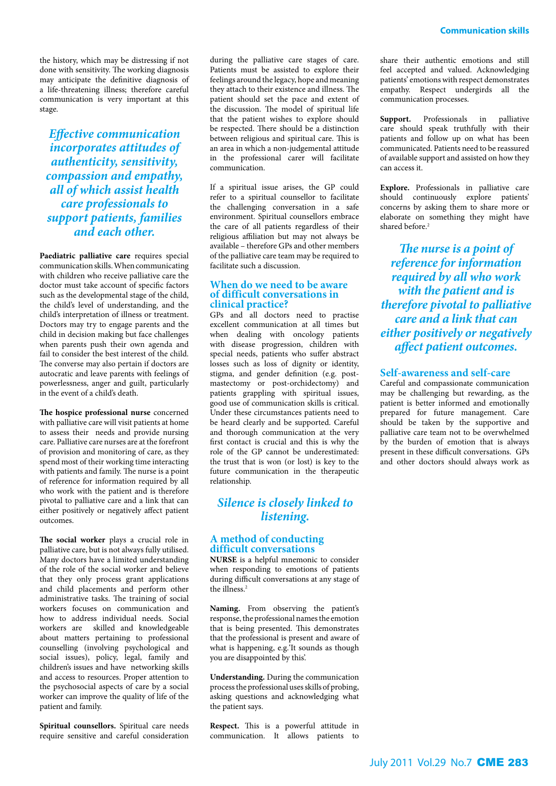the history, which may be distressing if not done with sensitivity. The working diagnosis may anticipate the definitive diagnosis of a life-threatening illness; therefore careful communication is very important at this stage.

*Effective communication incorporates attitudes of authenticity, sensitivity, compassion and empathy, all of which assist health care professionals to support patients, families and each other.*

**Paediatric palliative care** requires special communication skills. When communicating with children who receive palliative care the doctor must take account of specific factors such as the developmental stage of the child, the child's level of understanding, and the child's interpretation of illness or treatment. Doctors may try to engage parents and the child in decision making but face challenges when parents push their own agenda and fail to consider the best interest of the child. The converse may also pertain if doctors are autocratic and leave parents with feelings of powerlessness, anger and guilt, particularly in the event of a child's death.

**The hospice professional nurse** concerned with palliative care will visit patients at home to assess their needs and provide nursing care. Palliative care nurses are at the forefront of provision and monitoring of care, as they spend most of their working time interacting with patients and family. The nurse is a point of reference for information required by all who work with the patient and is therefore pivotal to palliative care and a link that can either positively or negatively affect patient outcomes.

**The social worker** plays a crucial role in palliative care, but is not always fully utilised. Many doctors have a limited understanding of the role of the social worker and believe that they only process grant applications and child placements and perform other administrative tasks. The training of social workers focuses on communication and how to address individual needs. Social workers are skilled and knowledgeable about matters pertaining to professional counselling (involving psychological and social issues), policy, legal, family and children's issues and have networking skills and access to resources. Proper attention to the psychosocial aspects of care by a social worker can improve the quality of life of the patient and family.

**Spiritual counsellors.** Spiritual care needs require sensitive and careful consideration during the palliative care stages of care. Patients must be assisted to explore their feelings around the legacy, hope and meaning they attach to their existence and illness. The patient should set the pace and extent of the discussion. The model of spiritual life that the patient wishes to explore should be respected. There should be a distinction between religious and spiritual care. This is an area in which a non-judgemental attitude in the professional carer will facilitate communication.

If a spiritual issue arises, the GP could refer to a spiritual counsellor to facilitate the challenging conversation in a safe environment. Spiritual counsellors embrace the care of all patients regardless of their religious affiliation but may not always be available – therefore GPs and other members of the palliative care team may be required to facilitate such a discussion.

#### **When do we need to be aware of difficult conversations in clinical practice?**

GPs and all doctors need to practise excellent communication at all times but when dealing with oncology patients with disease progression, children with special needs, patients who suffer abstract losses such as loss of dignity or identity, stigma, and gender definition (e.g. postmastectomy or post-orchidectomy) and patients grappling with spiritual issues, good use of communication skills is critical. Under these circumstances patients need to be heard clearly and be supported. Careful and thorough communication at the very first contact is crucial and this is why the role of the GP cannot be underestimated: the trust that is won (or lost) is key to the future communication in the therapeutic relationship.

### *Silence is closely linked to listening.*

#### **A method of conducting difficult conversations**

**NURSE** is a helpful mnemonic to consider when responding to emotions of patients during difficult conversations at any stage of the illness.2

**Naming.** From observing the patient's response, the professional names the emotion that is being presented. This demonstrates that the professional is present and aware of what is happening, e.g.'It sounds as though you are disappointed by this'.

**Understanding.** During the communication process the professional uses skills of probing, asking questions and acknowledging what the patient says.

**Respect.** This is a powerful attitude in communication. It allows patients to share their authentic emotions and still feel accepted and valued. Acknowledging patients' emotions with respect demonstrates empathy. Respect undergirds all the communication processes.

**Support.** Professionals in palliative care should speak truthfully with their patients and follow up on what has been communicated. Patients need to be reassured of available support and assisted on how they can access it.

**Explore.** Professionals in palliative care should continuously explore patients' concerns by asking them to share more or elaborate on something they might have shared before.<sup>2</sup>

*The nurse is a point of reference for information required by all who work with the patient and is therefore pivotal to palliative care and a link that can either positively or negatively affect patient outcomes.* 

#### **Self-awareness and self-care**

Careful and compassionate communication may be challenging but rewarding, as the patient is better informed and emotionally prepared for future management. Care should be taken by the supportive and palliative care team not to be overwhelmed by the burden of emotion that is always present in these difficult conversations. GPs and other doctors should always work as